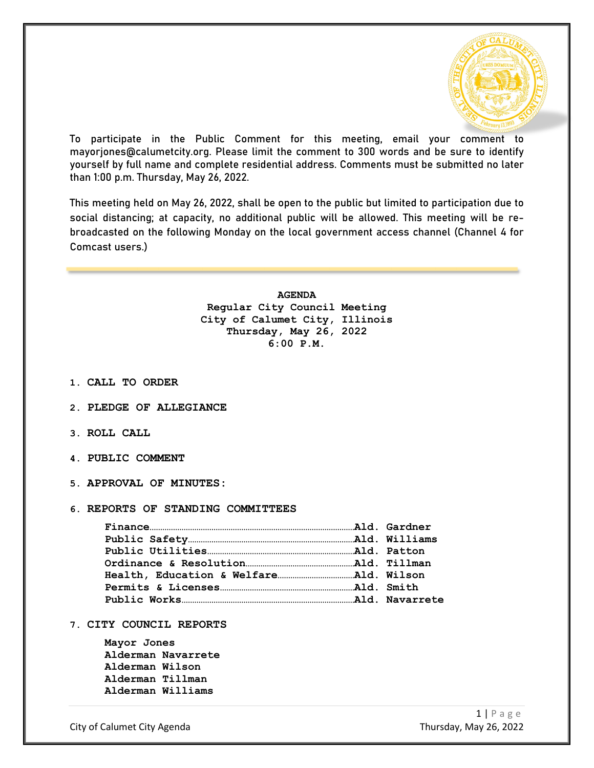

To participate in the Public Comment for this meeting, email your comment to mayorjones@calumetcity.org. Please limit the comment to 300 words and be sure to identify yourself by full name and complete residential address. Comments must be submitted no later than 1:00 p.m. Thursday, May 26, 2022.

This meeting held on May 26, 2022, shall be open to the public but limited to participation due to social distancing; at capacity, no additional public will be allowed. This meeting will be rebroadcasted on the following Monday on the local government access channel (Channel 4 for Comcast users.)

> **AGENDA Regular City Council Meeting City of Calumet City, Illinois Thursday, May 26, 2022 6:00 P.M.**

- **1. CALL TO ORDER**
- **2. PLEDGE OF ALLEGIANCE**
- **3. ROLL CALL**
- **4. PUBLIC COMMENT**
- **5. APPROVAL OF MINUTES:**

## **6. REPORTS OF STANDING COMMITTEES**

**7. CITY COUNCIL REPORTS**

**Mayor Jones Alderman Navarrete Alderman Wilson Alderman Tillman Alderman Williams**

City of Calumet City Agenda Thursday, May 26, 2022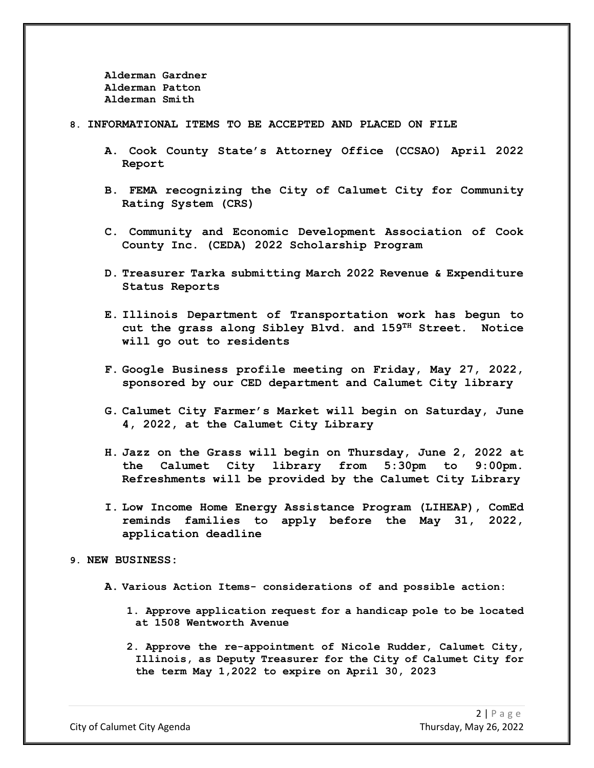**Alderman Gardner Alderman Patton Alderman Smith**

### **8. INFORMATIONAL ITEMS TO BE ACCEPTED AND PLACED ON FILE**

- **A. Cook County State's Attorney Office (CCSAO) April 2022 Report**
- **B. FEMA recognizing the City of Calumet City for Community Rating System (CRS)**
- **C. Community and Economic Development Association of Cook County Inc. (CEDA) 2022 Scholarship Program**
- **D. Treasurer Tarka submitting March 2022 Revenue & Expenditure Status Reports**
- **E. Illinois Department of Transportation work has begun to cut the grass along Sibley Blvd. and 159TH Street. Notice will go out to residents**
- **F. Google Business profile meeting on Friday, May 27, 2022, sponsored by our CED department and Calumet City library**
- **G. Calumet City Farmer's Market will begin on Saturday, June 4, 2022, at the Calumet City Library**
- **H. Jazz on the Grass will begin on Thursday, June 2, 2022 at the Calumet City library from 5:30pm to 9:00pm. Refreshments will be provided by the Calumet City Library**
- **I. Low Income Home Energy Assistance Program (LIHEAP), ComEd reminds families to apply before the May 31, 2022, application deadline**

#### **9. NEW BUSINESS:**

- **A. Various Action Items- considerations of and possible action:**
	- **1. Approve application request for a handicap pole to be located at 1508 Wentworth Avenue**
	- **2. Approve the re-appointment of Nicole Rudder, Calumet City, Illinois, as Deputy Treasurer for the City of Calumet City for the term May 1,2022 to expire on April 30, 2023**

City of Calumet City Agenda Thursday, May 26, 2022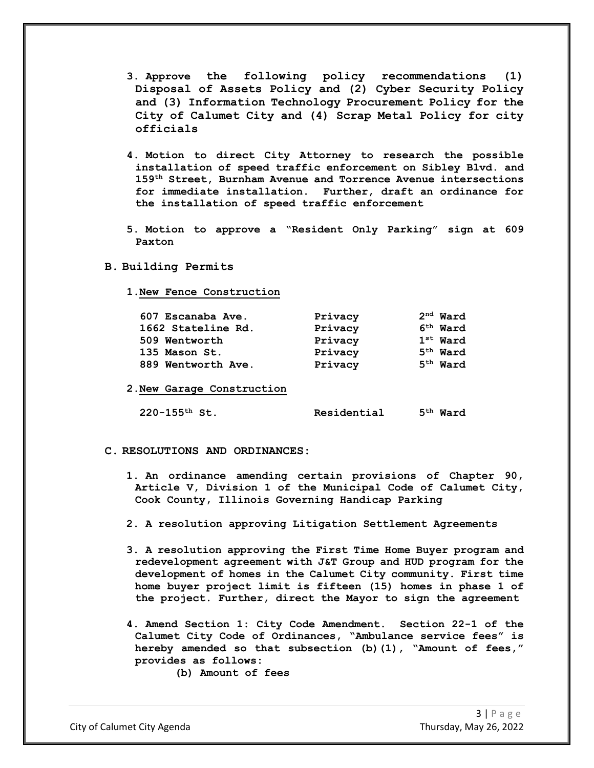- **3. Approve the following policy recommendations (1) Disposal of Assets Policy and (2) Cyber Security Policy and (3) Information Technology Procurement Policy for the City of Calumet City and (4) Scrap Metal Policy for city officials**
- **4. Motion to direct City Attorney to research the possible installation of speed traffic enforcement on Sibley Blvd. and 159th Street, Burnham Avenue and Torrence Avenue intersections for immediate installation. Further, draft an ordinance for the installation of speed traffic enforcement**
- **5. Motion to approve a "Resident Only Parking" sign at 609 Paxton**
- **B. Building Permits**
	- **1.New Fence Construction**

| 607 Escanaba Ave.  | Privacy | $2nd$ Ward |
|--------------------|---------|------------|
| 1662 Stateline Rd. | Privacy | $6th$ Ward |
| 509 Wentworth      | Privacy | $1st$ Ward |
| 135 Mason St.      | Privacy | $5th$ Ward |
| 889 Wentworth Ave. | Privacy | $5th$ Ward |
|                    |         |            |
| --                 |         |            |

**2.New Garage Construction**

#### **220-155th St. Residential 5th Ward**

- **C. RESOLUTIONS AND ORDINANCES:**
	- **1. An ordinance amending certain provisions of Chapter 90, Article V, Division 1 of the Municipal Code of Calumet City, Cook County, Illinois Governing Handicap Parking**
	- **2. A resolution approving Litigation Settlement Agreements**
	- **3. A resolution approving the First Time Home Buyer program and redevelopment agreement with J&T Group and HUD program for the development of homes in the Calumet City community. First time home buyer project limit is fifteen (15) homes in phase 1 of the project. Further, direct the Mayor to sign the agreement**
	- **4. Amend Section 1: City Code Amendment. Section 22-1 of the Calumet City Code of Ordinances, "Ambulance service fees" is hereby amended so that subsection (b)(1), "Amount of fees," provides as follows:**
		- **(b) Amount of fees**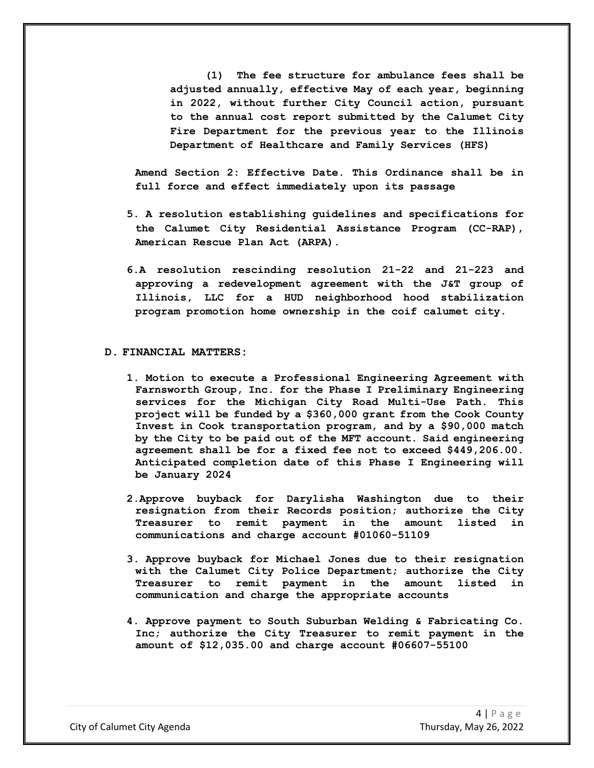**(1) The fee structure for ambulance fees shall be adjusted annually, effective May of each year, beginning in 2022, without further City Council action, pursuant to the annual cost report submitted by the Calumet City Fire Department for the previous year to the Illinois Department of Healthcare and Family Services (HFS)**

**Amend Section 2: Effective Date. This Ordinance shall be in full force and effect immediately upon its passage**

- **5. A resolution establishing guidelines and specifications for the Calumet City Residential Assistance Program (CC-RAP), American Rescue Plan Act (ARPA).**
- **6.A resolution rescinding resolution 21-22 and 21-223 and approving a redevelopment agreement with the J&T group of Illinois, LLC for a HUD neighborhood hood stabilization program promotion home ownership in the coif calumet city.**

# **D. FINANCIAL MATTERS:**

- **1. Motion to execute a Professional Engineering Agreement with Farnsworth Group, Inc. for the Phase I Preliminary Engineering services for the Michigan City Road Multi-Use Path. This project will be funded by a \$360,000 grant from the Cook County Invest in Cook transportation program, and by a \$90,000 match by the City to be paid out of the MFT account. Said engineering agreement shall be for a fixed fee not to exceed \$449,206.00. Anticipated completion date of this Phase I Engineering will be January 2024**
- **2.Approve buyback for Darylisha Washington due to their resignation from their Records position; authorize the City Treasurer to remit payment in the amount listed in communications and charge account #01060-51109**
- **3. Approve buyback for Michael Jones due to their resignation with the Calumet City Police Department; authorize the City Treasurer to remit payment in the amount listed in communication and charge the appropriate accounts**
- **4. Approve payment to South Suburban Welding & Fabricating Co. Inc; authorize the City Treasurer to remit payment in the amount of \$12,035.00 and charge account #06607-55100**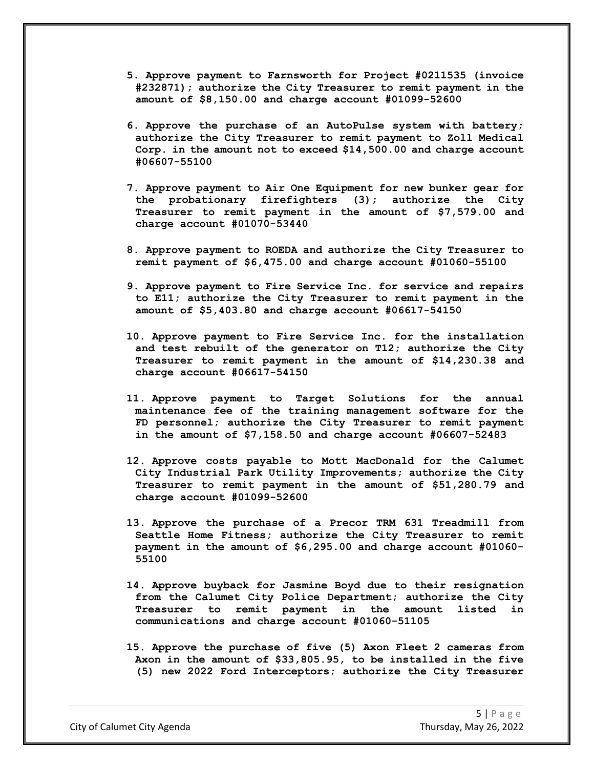- **5. Approve payment to Farnsworth for Project #0211535 (invoice #232871); authorize the City Treasurer to remit payment in the amount of \$8,150.00 and charge account #01099-52600**
- **6. Approve the purchase of an AutoPulse system with battery; authorize the City Treasurer to remit payment to Zoll Medical Corp. in the amount not to exceed \$14,500.00 and charge account #06607-55100**
- **7. Approve payment to Air One Equipment for new bunker gear for the probationary firefighters (3); authorize the City Treasurer to remit payment in the amount of \$7,579.00 and charge account #01070-53440**
- **8. Approve payment to ROEDA and authorize the City Treasurer to remit payment of \$6,475.00 and charge account #01060-55100**
- **9. Approve payment to Fire Service Inc. for service and repairs to E11; authorize the City Treasurer to remit payment in the amount of \$5,403.80 and charge account #06617-54150**
- **10. Approve payment to Fire Service Inc. for the installation and test rebuilt of the generator on T12; authorize the City Treasurer to remit payment in the amount of \$14,230.38 and charge account #06617-54150**
- **11. Approve payment to Target Solutions for the annual maintenance fee of the training management software for the FD personnel; authorize the City Treasurer to remit payment in the amount of \$7,158.50 and charge account #06607-52483**
- **12. Approve costs payable to Mott MacDonald for the Calumet City Industrial Park Utility Improvements; authorize the City Treasurer to remit payment in the amount of \$51,280.79 and charge account #01099-52600**
- **13. Approve the purchase of a Precor TRM 631 Treadmill from Seattle Home Fitness; authorize the City Treasurer to remit payment in the amount of \$6,295.00 and charge account #01060- 55100**
- **14. Approve buyback for Jasmine Boyd due to their resignation from the Calumet City Police Department; authorize the City Treasurer to remit payment in the amount listed in communications and charge account #01060-51105**
- **15. Approve the purchase of five (5) Axon Fleet 2 cameras from Axon in the amount of \$33,805.95, to be installed in the five (5) new 2022 Ford Interceptors; authorize the City Treasurer**

City of Calumet City Agenda Thursday, May 26, 2022